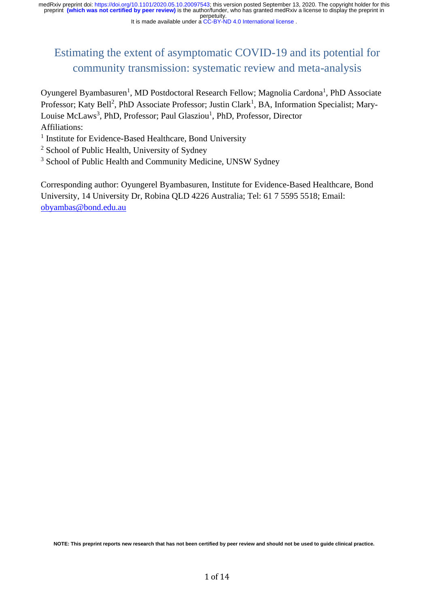#### It is made available under a [CC-BY-ND 4.0 International license](http://creativecommons.org/licenses/by-nd/4.0/) .

# Estimating the extent of asymptomatic COVID-19 and its potential for community transmission: systematic review and meta-analysis

Oyungerel Byambasuren<sup>1</sup>, MD Postdoctoral Research Fellow; Magnolia Cardona<sup>1</sup>, PhD Associate Professor; Katy Bell<sup>2</sup>, PhD Associate Professor; Justin Clark<sup>1</sup>, BA, Information Specialist; Mary-Louise McLaws<sup>3</sup>, PhD, Professor; Paul Glasziou<sup>1</sup>, PhD, Professor, Director Affiliations:

- <sup>1</sup> Institute for Evidence-Based Healthcare, Bond University
- <sup>2</sup> School of Public Health, University of Sydney
- <sup>3</sup> School of Public Health and Community Medicine, UNSW Sydney

Corresponding author: Oyungerel Byambasuren, Institute for Evidence-Based Healthcare, Bond University, 14 University Dr, Robina QLD 4226 Australia; Tel: 61 7 5595 5518; Email: [obyambas@bond.edu.au](mailto:obyambas@bond.edu.au)

**NOTE: This preprint reports new research that has not been certified by peer review and should not be used to guide clinical practice.**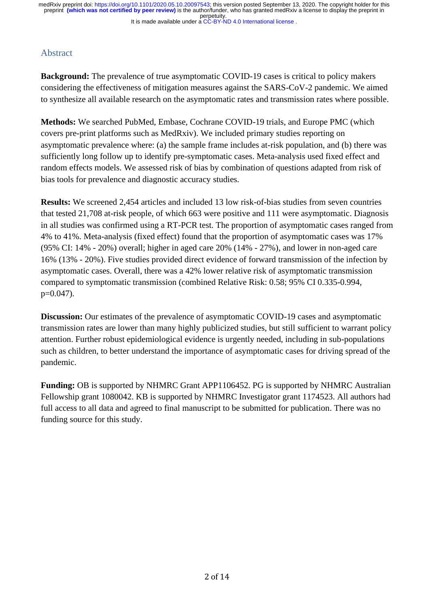## Abstract

**Background:** The prevalence of true asymptomatic COVID-19 cases is critical to policy makers considering the effectiveness of mitigation measures against the SARS-CoV-2 pandemic. We aimed to synthesize all available research on the asymptomatic rates and transmission rates where possible.

**Methods:** We searched PubMed, Embase, Cochrane COVID-19 trials, and Europe PMC (which covers pre-print platforms such as MedRxiv). We included primary studies reporting on asymptomatic prevalence where: (a) the sample frame includes at-risk population, and (b) there was sufficiently long follow up to identify pre-symptomatic cases. Meta-analysis used fixed effect and random effects models. We assessed risk of bias by combination of questions adapted from risk of bias tools for prevalence and diagnostic accuracy studies.

**Results:** We screened 2,454 articles and included 13 low risk-of-bias studies from seven countries that tested 21,708 at-risk people, of which 663 were positive and 111 were asymptomatic. Diagnosis in all studies was confirmed using a RT-PCR test. The proportion of asymptomatic cases ranged from 4% to 41%. Meta-analysis (fixed effect) found that the proportion of asymptomatic cases was 17% (95% CI: 14% - 20%) overall; higher in aged care 20% (14% - 27%), and lower in non-aged care 16% (13% - 20%). Five studies provided direct evidence of forward transmission of the infection by asymptomatic cases. Overall, there was a 42% lower relative risk of asymptomatic transmission compared to symptomatic transmission (combined Relative Risk: 0.58; 95% CI 0.335-0.994, p=0.047).

**Discussion:** Our estimates of the prevalence of asymptomatic COVID-19 cases and asymptomatic transmission rates are lower than many highly publicized studies, but still sufficient to warrant policy attention. Further robust epidemiological evidence is urgently needed, including in sub-populations such as children, to better understand the importance of asymptomatic cases for driving spread of the pandemic.

**Funding:** OB is supported by NHMRC Grant APP1106452. PG is supported by NHMRC Australian Fellowship grant 1080042. KB is supported by NHMRC Investigator grant 1174523. All authors had full access to all data and agreed to final manuscript to be submitted for publication. There was no funding source for this study.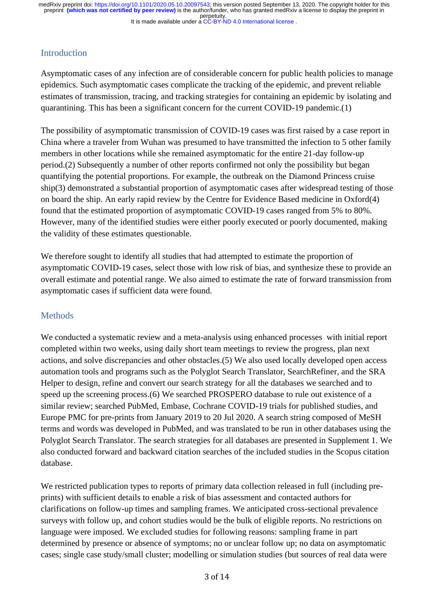It is made available under a [CC-BY-ND 4.0 International license](http://creativecommons.org/licenses/by-nd/4.0/) . perpetuity. preprint **(which was not certified by peer review)** is the author/funder, who has granted medRxiv a license to display the preprint in medRxiv preprint doi: [https://doi.org/10.1101/2020.05.10.20097543;](https://doi.org/10.1101/2020.05.10.20097543) this version posted September 13, 2020. The copyright holder for this

# Introduction

Asymptomatic cases of any infection are of considerable concern for public health policies to manage epidemics. Such asymptomatic cases complicate the tracking of the epidemic, and prevent reliable estimates of transmission, tracing, and tracking strategies for containing an epidemic by isolating and quarantining. This has been a significant concern for the current COVID-19 pandemic.(1)

The possibility of asymptomatic transmission of COVID-19 cases was first raised by a case report in China where a traveler from Wuhan was presumed to have transmitted the infection to 5 other family members in other locations while she remained asymptomatic for the entire 21-day follow-up period.(2) Subsequently a number of other reports confirmed not only the possibility but began quantifying the potential proportions. For example, the outbreak on the Diamond Princess cruise ship(3) demonstrated a substantial proportion of asymptomatic cases after widespread testing of those on board the ship. An early rapid review by the Centre for Evidence Based medicine in Oxford(4) found that the estimated proportion of asymptomatic COVID-19 cases ranged from 5% to 80%. However, many of the identified studies were either poorly executed or poorly documented, making the validity of these estimates questionable.

We therefore sought to identify all studies that had attempted to estimate the proportion of asymptomatic COVID-19 cases, select those with low risk of bias, and synthesize these to provide an overall estimate and potential range. We also aimed to estimate the rate of forward transmission from asymptomatic cases if sufficient data were found.

# **Methods**

We conducted a systematic review and a meta-analysis using enhanced processes with initial report completed within two weeks, using daily short team meetings to review the progress, plan next actions, and solve discrepancies and other obstacles.(5) We also used locally developed open access automation tools and programs such as the Polyglot Search Translator, SearchRefiner, and the SRA Helper to design, refine and convert our search strategy for all the databases we searched and to speed up the screening process.(6) We searched PROSPERO database to rule out existence of a similar review; searched PubMed, Embase, Cochrane COVID-19 trials for published studies, and Europe PMC for pre-prints from January 2019 to 20 Jul 2020. A search string composed of MeSH terms and words was developed in PubMed, and was translated to be run in other databases using the Polyglot Search Translator. The search strategies for all databases are presented in Supplement 1. We also conducted forward and backward citation searches of the included studies in the Scopus citation database.

We restricted publication types to reports of primary data collection released in full (including preprints) with sufficient details to enable a risk of bias assessment and contacted authors for clarifications on follow-up times and sampling frames. We anticipated cross-sectional prevalence surveys with follow up, and cohort studies would be the bulk of eligible reports. No restrictions on language were imposed. We excluded studies for following reasons: sampling frame in part determined by presence or absence of symptoms; no or unclear follow up; no data on asymptomatic cases; single case study/small cluster; modelling or simulation studies (but sources of real data were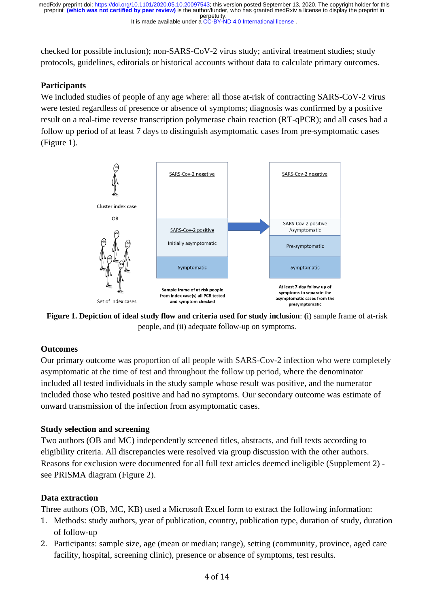perpetuity. preprint **(which was not certified by peer review)** is the author/funder, who has granted medRxiv a license to display the preprint in medRxiv preprint doi: [https://doi.org/10.1101/2020.05.10.20097543;](https://doi.org/10.1101/2020.05.10.20097543) this version posted September 13, 2020. The copyright holder for this

It is made available under a [CC-BY-ND 4.0 International license](http://creativecommons.org/licenses/by-nd/4.0/) .

checked for possible inclusion); non-SARS-CoV-2 virus study; antiviral treatment studies; study protocols, guidelines, editorials or historical accounts without data to calculate primary outcomes.

### **Participants**

We included studies of people of any age where: all those at-risk of contracting SARS-CoV-2 virus were tested regardless of presence or absence of symptoms; diagnosis was confirmed by a positive result on a real-time reverse transcription polymerase chain reaction (RT-qPCR); and all cases had a follow up period of at least 7 days to distinguish asymptomatic cases from pre-symptomatic cases (Figure 1).





#### **Outcomes**

Our primary outcome was proportion of all people with SARS-Cov-2 infection who were completely asymptomatic at the time of test and throughout the follow up period, where the denominator included all tested individuals in the study sample whose result was positive, and the numerator included those who tested positive and had no symptoms. Our secondary outcome was estimate of onward transmission of the infection from asymptomatic cases.

#### **Study selection and screening**

Two authors (OB and MC) independently screened titles, abstracts, and full texts according to eligibility criteria. All discrepancies were resolved via group discussion with the other authors. Reasons for exclusion were documented for all full text articles deemed ineligible (Supplement 2) see PRISMA diagram (Figure 2).

#### **Data extraction**

Three authors (OB, MC, KB) used a Microsoft Excel form to extract the following information:

- 1. Methods: study authors, year of publication, country, publication type, duration of study, duration of follow-up
- 2. Participants: sample size, age (mean or median; range), setting (community, province, aged care facility, hospital, screening clinic), presence or absence of symptoms, test results.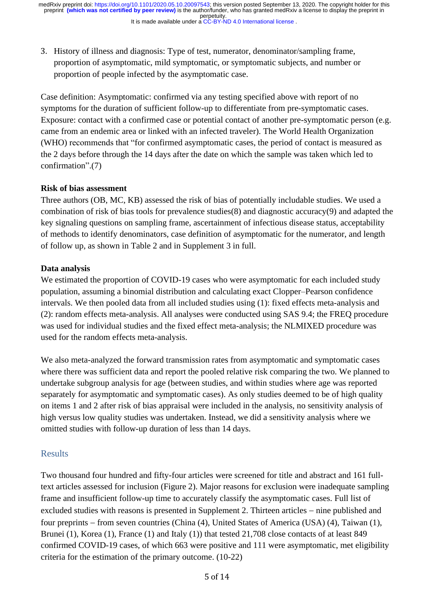3. History of illness and diagnosis: Type of test, numerator, denominator/sampling frame, proportion of asymptomatic, mild symptomatic, or symptomatic subjects, and number or proportion of people infected by the asymptomatic case.

Case definition: Asymptomatic: confirmed via any testing specified above with report of no symptoms for the duration of sufficient follow-up to differentiate from pre-symptomatic cases. Exposure: contact with a confirmed case or potential contact of another pre-symptomatic person (e.g. came from an endemic area or linked with an infected traveler). The World Health Organization (WHO) recommends that "for confirmed asymptomatic cases, the period of contact is measured as the 2 days before through the 14 days after the date on which the sample was taken which led to confirmation".(7)

### **Risk of bias assessment**

Three authors (OB, MC, KB) assessed the risk of bias of potentially includable studies. We used a combination of risk of bias tools for prevalence studies(8) and diagnostic accuracy(9) and adapted the key signaling questions on sampling frame, ascertainment of infectious disease status, acceptability of methods to identify denominators, case definition of asymptomatic for the numerator, and length of follow up, as shown in Table 2 and in Supplement 3 in full.

### **Data analysis**

We estimated the proportion of COVID-19 cases who were asymptomatic for each included study population, assuming a binomial distribution and calculating exact Clopper–Pearson confidence intervals. We then pooled data from all included studies using (1): fixed effects meta-analysis and (2): random effects meta-analysis. All analyses were conducted using SAS 9.4; the FREQ procedure was used for individual studies and the fixed effect meta-analysis; the NLMIXED procedure was used for the random effects meta-analysis.

We also meta-analyzed the forward transmission rates from asymptomatic and symptomatic cases where there was sufficient data and report the pooled relative risk comparing the two. We planned to undertake subgroup analysis for age (between studies, and within studies where age was reported separately for asymptomatic and symptomatic cases). As only studies deemed to be of high quality on items 1 and 2 after risk of bias appraisal were included in the analysis, no sensitivity analysis of high versus low quality studies was undertaken. Instead, we did a sensitivity analysis where we omitted studies with follow-up duration of less than 14 days.

## Results

Two thousand four hundred and fifty-four articles were screened for title and abstract and 161 fulltext articles assessed for inclusion (Figure 2). Major reasons for exclusion were inadequate sampling frame and insufficient follow-up time to accurately classify the asymptomatic cases. Full list of excluded studies with reasons is presented in Supplement 2. Thirteen articles − nine published and four preprints – from seven countries (China (4), United States of America (USA) (4), Taiwan (1), Brunei (1), Korea (1), France (1) and Italy (1)) that tested 21,708 close contacts of at least 849 confirmed COVID-19 cases, of which 663 were positive and 111 were asymptomatic, met eligibility criteria for the estimation of the primary outcome. (10-22)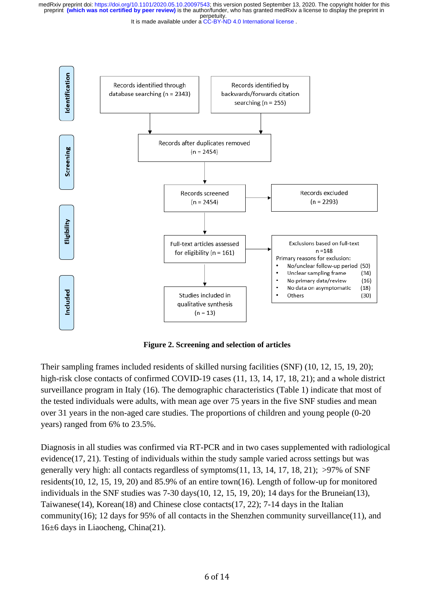perpetuity. preprint **(which was not certified by peer review)** is the author/funder, who has granted medRxiv a license to display the preprint in medRxiv preprint doi: [https://doi.org/10.1101/2020.05.10.20097543;](https://doi.org/10.1101/2020.05.10.20097543) this version posted September 13, 2020. The copyright holder for this

It is made available under a [CC-BY-ND 4.0 International license](http://creativecommons.org/licenses/by-nd/4.0/) .



**Figure 2. Screening and selection of articles** 

Their sampling frames included residents of skilled nursing facilities (SNF) (10, 12, 15, 19, 20); high-risk close contacts of confirmed COVID-19 cases (11, 13, 14, 17, 18, 21); and a whole district surveillance program in Italy (16). The demographic characteristics (Table 1) indicate that most of the tested individuals were adults, with mean age over 75 years in the five SNF studies and mean over 31 years in the non-aged care studies. The proportions of children and young people (0-20 years) ranged from 6% to 23.5%.

Diagnosis in all studies was confirmed via RT-PCR and in two cases supplemented with radiological evidence(17, 21). Testing of individuals within the study sample varied across settings but was generally very high: all contacts regardless of symptoms $(11, 13, 14, 17, 18, 21)$ ;  $>97\%$  of SNF residents(10, 12, 15, 19, 20) and 85.9% of an entire town(16). Length of follow-up for monitored individuals in the SNF studies was 7-30 days(10, 12, 15, 19, 20); 14 days for the Bruneian(13), Taiwanese(14), Korean(18) and Chinese close contacts(17, 22); 7-14 days in the Italian community(16); 12 days for 95% of all contacts in the Shenzhen community surveillance(11), and 16±6 days in Liaocheng, China(21).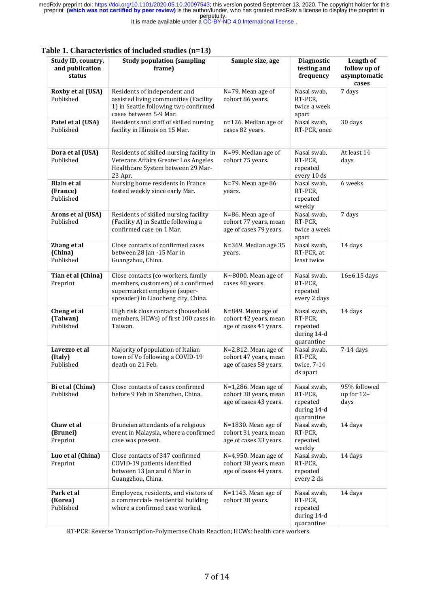It is made available under a [CC-BY-ND 4.0 International license](http://creativecommons.org/licenses/by-nd/4.0/) .

| Study ID, country,<br>and publication<br>status | <b>Study population (sampling</b><br>frame)                                                                                                     | Sample size, age                                                           | <b>Diagnostic</b><br>testing and<br>frequency                   | Length of<br>follow up of<br>asymptomatic<br>cases |
|-------------------------------------------------|-------------------------------------------------------------------------------------------------------------------------------------------------|----------------------------------------------------------------------------|-----------------------------------------------------------------|----------------------------------------------------|
| Roxby et al (USA)<br>Published                  | Residents of independent and<br>assisted living communities (Facility<br>1) in Seattle following two confirmed<br>cases between 5-9 Mar.        | N=79. Mean age of<br>cohort 86 years.                                      | Nasal swab,<br>RT-PCR,<br>twice a week<br>apart                 | 7 days                                             |
| Patel et al (USA)<br>Published                  | Residents and staff of skilled nursing<br>facility in Illinois on 15 Mar.                                                                       | n=126. Median age of<br>cases 82 years.                                    | Nasal swab,<br>RT-PCR, once                                     | 30 days                                            |
| Dora et al (USA)<br>Published                   | Residents of skilled nursing facility in<br>Veterans Affairs Greater Los Angeles<br>Healthcare System between 29 Mar-<br>23 Apr.                | N=99. Median age of<br>cohort 75 years.                                    | Nasal swab,<br>RT-PCR,<br>repeated<br>every 10 ds               | At least 14<br>days                                |
| <b>Blain et al</b><br>(France)<br>Published     | Nursing home residents in France<br>tested weekly since early Mar.                                                                              | N=79. Mean age 86<br>years.                                                | Nasal swab,<br>RT-PCR,<br>repeated<br>weekly                    | 6 weeks                                            |
| Arons et al (USA)<br>Published                  | Residents of skilled nursing facility<br>(Facility A) in Seattle following a<br>confirmed case on 1 Mar.                                        | N=86. Mean age of<br>cohort 77 years, mean<br>age of cases 79 years.       | Nasal swab,<br>RT-PCR,<br>twice a week<br>apart                 | 7 days                                             |
| Zhang et al<br>(China)<br>Published             | Close contacts of confirmed cases<br>between 28 Jan -15 Mar in<br>Guangzhou, China.                                                             | N=369. Median age 35<br>years.                                             | Nasal swab,<br>RT-PCR, at<br>least twice                        | 14 days                                            |
| Tian et al (China)<br>Preprint                  | Close contacts (co-workers, family<br>members, customers) of a confirmed<br>supermarket employee (super-<br>spreader) in Liaocheng city, China. | $N \sim 8000$ . Mean age of<br>cases 48 years.                             | Nasal swab,<br>RT-PCR,<br>repeated<br>every 2 days              | 16±6.15 days                                       |
| Cheng et al<br>(Taiwan)<br>Published            | High risk close contacts (household<br>members, HCWs) of first 100 cases in<br>Taiwan.                                                          | N=849. Mean age of<br>cohort 42 years, mean<br>age of cases 41 years.      | Nasal swab,<br>RT-PCR,<br>repeated<br>during 14-d<br>quarantine | 14 days                                            |
| Lavezzo et al<br>(Italy)<br>Published           | Majority of population of Italian<br>town of Vo following a COVID-19<br>death on 21 Feb.                                                        | $N=2,812$ . Mean age of<br>cohort 47 years, mean<br>age of cases 58 years. | Nasal swab,<br>RT-PCR,<br>twice, 7-14<br>ds apart               | 7-14 days                                          |
| Bi et al (China)<br>Published                   | Close contacts of cases confirmed<br>before 9 Feb in Shenzhen, China.                                                                           | $N=1,286$ . Mean age of<br>cohort 38 years, mean<br>age of cases 43 years. | Nasal swab,<br>RT-PCR,<br>repeated<br>during 14-d<br>quarantine | 95% followed<br>up for $12+$<br>days               |
| Chaw et al<br>(Brunei)<br>Preprint              | Bruneian attendants of a religious<br>event in Malaysia, where a confirmed<br>case was present.                                                 | N=1830. Mean age of<br>cohort 31 years, mean<br>age of cases 33 years.     | Nasal swab,<br>RT-PCR,<br>repeated<br>weekly                    | 14 days                                            |
| Luo et al (China)<br>Preprint                   | Close contacts of 347 confirmed<br>COVID-19 patients identified<br>between 13 Jan and 6 Mar in<br>Guangzhou, China.                             | $N=4,950$ . Mean age of<br>cohort 38 years, mean<br>age of cases 44 years. | Nasal swab,<br>RT-PCR,<br>repeated<br>every 2 ds                | 14 days                                            |
| Park et al<br>(Korea)<br>Published              | Employees, residents, and visitors of<br>a commercial+ residential building<br>where a confirmed case worked.                                   | N=1143. Mean age of<br>cohort 38 years.                                    | Nasal swab,<br>RT-PCR,<br>repeated<br>during 14-d<br>quarantine | 14 days                                            |

#### **Table 1. Characteristics of included studies (n=13)**

RT-PCR: Reverse Transcription-Polymerase Chain Reaction; HCWs: health care workers.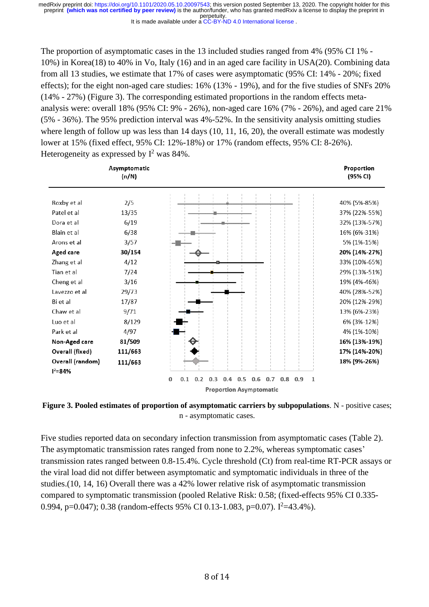It is made available under a [CC-BY-ND 4.0 International license](http://creativecommons.org/licenses/by-nd/4.0/) .

The proportion of asymptomatic cases in the 13 included studies ranged from 4% (95% CI 1% - 10%) in Korea(18) to 40% in Vo, Italy (16) and in an aged care facility in USA(20). Combining data from all 13 studies, we estimate that 17% of cases were asymptomatic (95% CI: 14% - 20%; fixed effects); for the eight non-aged care studies: 16% (13% - 19%), and for the five studies of SNFs 20% (14% - 27%) (Figure 3). The corresponding estimated proportions in the random effects metaanalysis were: overall 18% (95% CI: 9% - 26%), non-aged care 16% (7% - 26%), and aged care 21% (5% - 36%). The 95% prediction interval was 4%-52%. In the sensitivity analysis omitting studies where length of follow up was less than 14 days (10, 11, 16, 20), the overall estimate was modestly lower at 15% (fixed effect, 95% CI: 12%-18%) or 17% (random effects, 95% CI: 8-26%). Heterogeneity as expressed by  $I^2$  was 84%.



![](_page_7_Figure_4.jpeg)

Five studies reported data on secondary infection transmission from asymptomatic cases (Table 2). The asymptomatic transmission rates ranged from none to 2.2%, whereas symptomatic cases' transmission rates ranged between 0.8-15.4%. Cycle threshold (Ct) from real-time RT-PCR assays or the viral load did not differ between asymptomatic and symptomatic individuals in three of the studies.(10, 14, 16) Overall there was a 42% lower relative risk of asymptomatic transmission compared to symptomatic transmission (pooled Relative Risk: 0.58; (fixed-effects 95% CI 0.335- 0.994, p=0.047); 0.38 (random-effects 95% CI 0.13-1.083, p=0.07).  $I^2$ =43.4%).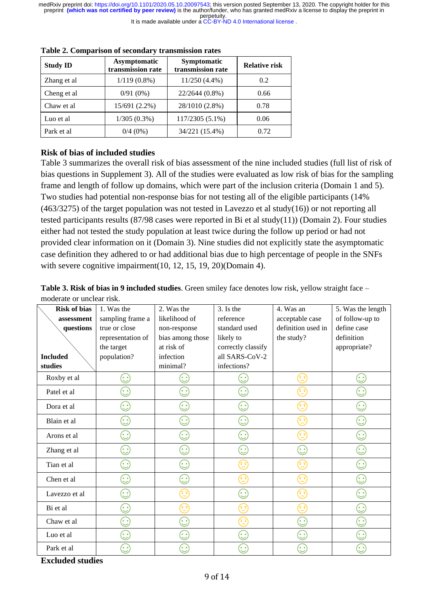| <b>Study ID</b> | Asymptomatic<br>transmission rate | <b>Symptomatic</b><br>transmission rate | <b>Relative risk</b> |
|-----------------|-----------------------------------|-----------------------------------------|----------------------|
| Zhang et al     | $1/119(0.8\%)$                    | $11/250(4.4\%)$                         | 0.2                  |
| Cheng et al     | $0/91(0\%)$                       | 22/2644 (0.8%)                          | 0.66                 |
| Chaw et al.     | 15/691 (2.2%)                     | 28/1010 (2.8%)                          | 0.78                 |
| Luo et al       | $1/305(0.3\%)$                    | 117/2305 (5.1%)                         | 0.06                 |
| Park et al      | $0/4(0\%)$                        | 34/221 (15.4%)                          | 0.72                 |

**Table 2. Comparison of secondary transmission rates**

#### **Risk of bias of included studies**

Table 3 summarizes the overall risk of bias assessment of the nine included studies (full list of risk of bias questions in Supplement 3). All of the studies were evaluated as low risk of bias for the sampling frame and length of follow up domains, which were part of the inclusion criteria (Domain 1 and 5). Two studies had potential non-response bias for not testing all of the eligible participants (14%  $(463/3275)$  of the target population was not tested in Lavezzo et al study $(16)$ ) or not reporting all tested participants results (87/98 cases were reported in Bi et al study(11)) (Domain 2). Four studies either had not tested the study population at least twice during the follow up period or had not provided clear information on it (Domain 3). Nine studies did not explicitly state the asymptomatic case definition they adhered to or had additional bias due to high percentage of people in the SNFs with severe cognitive impairment(10, 12, 15, 19, 20)(Domain 4).

**Table 3. Risk of bias in 9 included studies**. Green smiley face denotes low risk, yellow straight face – moderate or unclear risk.

| <b>Risk of bias</b> | 1. Was the         | 2. Was the                                                                                                                    | 3. Is the                              | 4. Was an                              | 5. Was the length |
|---------------------|--------------------|-------------------------------------------------------------------------------------------------------------------------------|----------------------------------------|----------------------------------------|-------------------|
| assessment          | sampling frame a   | likelihood of                                                                                                                 | reference                              | acceptable case                        | of follow-up to   |
| questions           | true or close      | non-response                                                                                                                  | standard used                          | definition used in                     | define case       |
|                     | representation of  | bias among those                                                                                                              | likely to                              | the study?                             | definition        |
|                     | the target         | at risk of                                                                                                                    | correctly classify                     |                                        | appropriate?      |
| <b>Included</b>     | population?        | infection                                                                                                                     | all SARS-CoV-2                         |                                        |                   |
| studies             |                    | minimal?                                                                                                                      | infections?                            |                                        |                   |
| Roxby et al         | $\mathbf{\hat{c}}$ | $\odot$                                                                                                                       | $\odot$                                | $\left(\frac{1}{2}\right)$             | $\mathbb{C}$      |
| Patel et al         | $\odot$            | $\odot$                                                                                                                       | $\odot$                                | $\left(\frac{1}{2}\right)$             | $\mathbb{C}$      |
| Dora et al          | $\mathbb{C}$       | $(\dot{\mathbb{C}})$                                                                                                          | $(\dot{\mathbb{C}})$                   | $\left(\frac{1}{2}\right)$             | $\odot$           |
| Blain et al         | $\odot$            | $\odot$                                                                                                                       | $\odot$                                | $\left(\frac{1}{2},\frac{1}{2}\right)$ | $\mathbb{C}$      |
| Arons et al         | $\mathbb{C}$       | $\odot$                                                                                                                       | $\mathbb{C}$                           | Œ                                      | $\mathbb{C}$      |
| Zhang et al         | $\odot$            | $\odot$                                                                                                                       | $\mathbb{C}$                           | $\odot$                                | $\mathbb{C}$      |
| Tian et al          | $\odot$            | $\odot$                                                                                                                       | 3                                      | (ِ=ِیَ                                 | $\odot$           |
| Chen et al          | $\odot$            | $\odot$                                                                                                                       | $\left(\frac{1}{2}\right)$             | $\left(\frac{1}{2},\frac{1}{2}\right)$ | $\mathbb{C}$      |
| Lavezzo et al       | $\odot$            | $\left(\begin{smallmatrix}\mathbf{0} & \mathbf{0} & \mathbf{0}\ \mathbf{0} & \mathbf{0} & \mathbf{0}\end{smallmatrix}\right)$ | $\odot$                                | (قية)<br>ر                             | $\odot$           |
| Bi et al            | $\mathbb{C}$       | $\left(\frac{1}{2}\right)$                                                                                                    | $\left(\frac{1}{2},\frac{1}{2}\right)$ | $\left(\frac{1}{2}\right)$             | $\odot$           |
| Chaw et al          | $\odot$            | $\odot$                                                                                                                       | $\left(\frac{1}{2}\right)$             | $\odot$                                | $\mathbb{C}$      |
| Luo et al           | $\odot$            | $\odot$                                                                                                                       | $\odot$                                | $\odot$                                | $\mathbb{C}$      |
| Park et al          | $\mathbf{\hat{c}}$ | $\mathbf{\hat{c}}$                                                                                                            | $\mathbf{C}$                           | $\mathbb{C}$                           | في)<br>رف         |

**Excluded studies**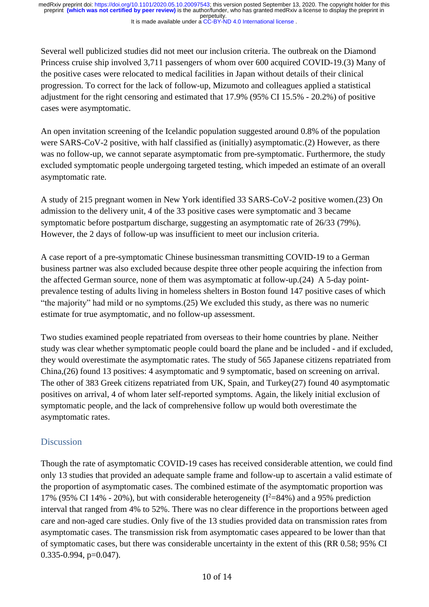Several well publicized studies did not meet our inclusion criteria. The outbreak on the Diamond Princess cruise ship involved 3,711 passengers of whom over 600 acquired COVID-19.(3) Many of the positive cases were relocated to medical facilities in Japan without details of their clinical progression. To correct for the lack of follow-up, Mizumoto and colleagues applied a statistical adjustment for the right censoring and estimated that 17.9% (95% CI 15.5% - 20.2%) of positive cases were asymptomatic.

An open invitation screening of the Icelandic population suggested around 0.8% of the population were SARS-CoV-2 positive, with half classified as (initially) asymptomatic.(2) However, as there was no follow-up, we cannot separate asymptomatic from pre-symptomatic. Furthermore, the study excluded symptomatic people undergoing targeted testing, which impeded an estimate of an overall asymptomatic rate.

A study of 215 pregnant women in New York identified 33 SARS-CoV-2 positive women.(23) On admission to the delivery unit, 4 of the 33 positive cases were symptomatic and 3 became symptomatic before postpartum discharge, suggesting an asymptomatic rate of 26/33 (79%). However, the 2 days of follow-up was insufficient to meet our inclusion criteria.

A case report of a pre-symptomatic Chinese businessman transmitting COVID-19 to a German business partner was also excluded because despite three other people acquiring the infection from the affected German source, none of them was asymptomatic at follow-up.(24) A 5-day pointprevalence testing of adults living in homeless shelters in Boston found 147 positive cases of which "the majority" had mild or no symptoms.(25) We excluded this study, as there was no numeric estimate for true asymptomatic, and no follow-up assessment.

Two studies examined people repatriated from overseas to their home countries by plane. Neither study was clear whether symptomatic people could board the plane and be included - and if excluded, they would overestimate the asymptomatic rates. The study of 565 Japanese citizens repatriated from China,(26) found 13 positives: 4 asymptomatic and 9 symptomatic, based on screening on arrival. The other of 383 Greek citizens repatriated from UK, Spain, and Turkey(27) found 40 asymptomatic positives on arrival, 4 of whom later self-reported symptoms. Again, the likely initial exclusion of symptomatic people, and the lack of comprehensive follow up would both overestimate the asymptomatic rates.

## **Discussion**

Though the rate of asymptomatic COVID-19 cases has received considerable attention, we could find only 13 studies that provided an adequate sample frame and follow-up to ascertain a valid estimate of the proportion of asymptomatic cases. The combined estimate of the asymptomatic proportion was 17% (95% CI 14% - 20%), but with considerable heterogeneity ( $I^2=84\%$ ) and a 95% prediction interval that ranged from 4% to 52%. There was no clear difference in the proportions between aged care and non-aged care studies. Only five of the 13 studies provided data on transmission rates from asymptomatic cases. The transmission risk from asymptomatic cases appeared to be lower than that of symptomatic cases, but there was considerable uncertainty in the extent of this (RR 0.58; 95% CI 0.335-0.994, p=0.047).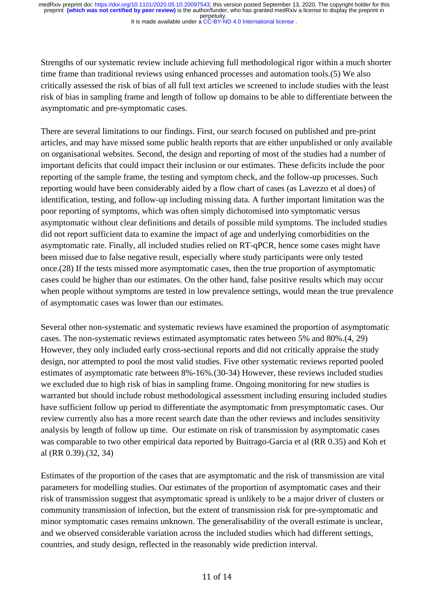It is made available under a [CC-BY-ND 4.0 International license](http://creativecommons.org/licenses/by-nd/4.0/) .

Strengths of our systematic review include achieving full methodological rigor within a much shorter time frame than traditional reviews using enhanced processes and automation tools.(5) We also critically assessed the risk of bias of all full text articles we screened to include studies with the least risk of bias in sampling frame and length of follow up domains to be able to differentiate between the asymptomatic and pre-symptomatic cases.

There are several limitations to our findings. First, our search focused on published and pre-print articles, and may have missed some public health reports that are either unpublished or only available on organisational websites. Second, the design and reporting of most of the studies had a number of important deficits that could impact their inclusion or our estimates. These deficits include the poor reporting of the sample frame, the testing and symptom check, and the follow-up processes. Such reporting would have been considerably aided by a flow chart of cases (as Lavezzo et al does) of identification, testing, and follow-up including missing data. A further important limitation was the poor reporting of symptoms, which was often simply dichotomised into symptomatic versus asymptomatic without clear definitions and details of possible mild symptoms. The included studies did not report sufficient data to examine the impact of age and underlying comorbidities on the asymptomatic rate. Finally, all included studies relied on RT-qPCR, hence some cases might have been missed due to false negative result, especially where study participants were only tested once.(28) If the tests missed more asymptomatic cases, then the true proportion of asymptomatic cases could be higher than our estimates. On the other hand, false positive results which may occur when people without symptoms are tested in low prevalence settings, would mean the true prevalence of asymptomatic cases was lower than our estimates.

Several other non-systematic and systematic reviews have examined the proportion of asymptomatic cases. The non-systematic reviews estimated asymptomatic rates between 5% and 80%.(4, 29) However, they only included early cross-sectional reports and did not critically appraise the study design, nor attempted to pool the most valid studies. Five other systematic reviews reported pooled estimates of asymptomatic rate between 8%-16%.(30-34) However, these reviews included studies we excluded due to high risk of bias in sampling frame. Ongoing monitoring for new studies is warranted but should include robust methodological assessment including ensuring included studies have sufficient follow up period to differentiate the asymptomatic from presymptomatic cases. Our review currently also has a more recent search date than the other reviews and includes sensitivity analysis by length of follow up time. Our estimate on risk of transmission by asymptomatic cases was comparable to two other empirical data reported by Buitrago-Garcia et al (RR 0.35) and Koh et al (RR 0.39).(32, 34)

Estimates of the proportion of the cases that are asymptomatic and the risk of transmission are vital parameters for modelling studies. Our estimates of the proportion of asymptomatic cases and their risk of transmission suggest that asymptomatic spread is unlikely to be a major driver of clusters or community transmission of infection, but the extent of transmission risk for pre-symptomatic and minor symptomatic cases remains unknown. The generalisability of the overall estimate is unclear, and we observed considerable variation across the included studies which had different settings, countries, and study design, reflected in the reasonably wide prediction interval.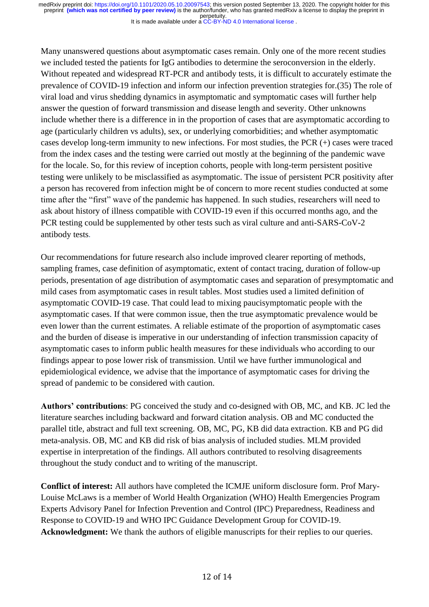It is made available under a [CC-BY-ND 4.0 International license](http://creativecommons.org/licenses/by-nd/4.0/) .

Many unanswered questions about asymptomatic cases remain. Only one of the more recent studies we included tested the patients for IgG antibodies to determine the seroconversion in the elderly. Without repeated and widespread RT-PCR and antibody tests, it is difficult to accurately estimate the prevalence of COVID-19 infection and inform our infection prevention strategies for.(35) The role of viral load and virus shedding dynamics in asymptomatic and symptomatic cases will further help answer the question of forward transmission and disease length and severity. Other unknowns include whether there is a difference in in the proportion of cases that are asymptomatic according to age (particularly children vs adults), sex, or underlying comorbidities; and whether asymptomatic cases develop long-term immunity to new infections. For most studies, the PCR (+) cases were traced from the index cases and the testing were carried out mostly at the beginning of the pandemic wave for the locale. So, for this review of inception cohorts, people with long-term persistent positive testing were unlikely to be misclassified as asymptomatic. The issue of persistent PCR positivity after a person has recovered from infection might be of concern to more recent studies conducted at some time after the "first" wave of the pandemic has happened. In such studies, researchers will need to ask about history of illness compatible with COVID-19 even if this occurred months ago, and the PCR testing could be supplemented by other tests such as viral culture and anti-SARS-CoV-2 antibody tests.

Our recommendations for future research also include improved clearer reporting of methods, sampling frames, case definition of asymptomatic, extent of contact tracing, duration of follow-up periods, presentation of age distribution of asymptomatic cases and separation of presymptomatic and mild cases from asymptomatic cases in result tables. Most studies used a limited definition of asymptomatic COVID-19 case. That could lead to mixing paucisymptomatic people with the asymptomatic cases. If that were common issue, then the true asymptomatic prevalence would be even lower than the current estimates. A reliable estimate of the proportion of asymptomatic cases and the burden of disease is imperative in our understanding of infection transmission capacity of asymptomatic cases to inform public health measures for these individuals who according to our findings appear to pose lower risk of transmission. Until we have further immunological and epidemiological evidence, we advise that the importance of asymptomatic cases for driving the spread of pandemic to be considered with caution.

**Authors' contributions**: PG conceived the study and co-designed with OB, MC, and KB. JC led the literature searches including backward and forward citation analysis. OB and MC conducted the parallel title, abstract and full text screening. OB, MC, PG, KB did data extraction. KB and PG did meta-analysis. OB, MC and KB did risk of bias analysis of included studies. MLM provided expertise in interpretation of the findings. All authors contributed to resolving disagreements throughout the study conduct and to writing of the manuscript.

**Conflict of interest:** All authors have completed the ICMJE uniform disclosure form. Prof Mary-Louise McLaws is a member of World Health Organization (WHO) Health Emergencies Program Experts Advisory Panel for Infection Prevention and Control (IPC) Preparedness, Readiness and Response to COVID-19 and WHO IPC Guidance Development Group for COVID-19. Acknowledgment: We thank the authors of eligible manuscripts for their replies to our queries.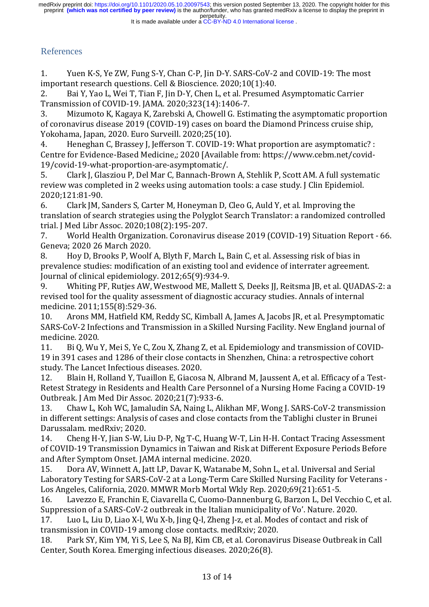#### It is made available under a [CC-BY-ND 4.0 International license](http://creativecommons.org/licenses/by-nd/4.0/) .

## References

1. Yuen K-S, Ye ZW, Fung S-Y, Chan C-P, Jin D-Y. SARS-CoV-2 and COVID-19: The most important research questions. Cell & Bioscience. 2020;10(1):40.

2. Bai Y, Yao L, Wei T, Tian F, Jin D-Y, Chen L, et al. Presumed Asymptomatic Carrier Transmission of COVID-19. JAMA. 2020;323(14):1406-7.

3. Mizumoto K, Kagaya K, Zarebski A, Chowell G. Estimating the asymptomatic proportion of coronavirus disease 2019 (COVID-19) cases on board the Diamond Princess cruise ship, Yokohama, Japan, 2020. Euro Surveill. 2020;25(10).

4. Heneghan C, Brassey J, Jefferson T. COVID-19: What proportion are asymptomatic? : Centre for Evidence-Based Medicine,; 2020 [Available from: https://www.cebm.net/covid-19/covid-19-what-proportion-are-asymptomatic/.

5. Clark J, Glasziou P, Del Mar C, Bannach-Brown A, Stehlik P, Scott AM. A full systematic review was completed in 2 weeks using automation tools: a case study. J Clin Epidemiol. 2020;121:81-90.

6. Clark JM, Sanders S, Carter M, Honeyman D, Cleo G, Auld Y, et al. Improving the translation of search strategies using the Polyglot Search Translator: a randomized controlled trial. J Med Libr Assoc. 2020;108(2):195-207.

7. World Health Organization. Coronavirus disease 2019 (COVID-19) Situation Report - 66. Geneva; 2020 26 March 2020.

8. Hoy D, Brooks P, Woolf A, Blyth F, March L, Bain C, et al. Assessing risk of bias in prevalence studies: modification of an existing tool and evidence of interrater agreement. Journal of clinical epidemiology. 2012;65(9):934-9.

9. Whiting PF, Rutjes AW, Westwood ME, Mallett S, Deeks JJ, Reitsma JB, et al. QUADAS-2: a revised tool for the quality assessment of diagnostic accuracy studies. Annals of internal medicine. 2011;155(8):529-36.

10. Arons MM, Hatfield KM, Reddy SC, Kimball A, James A, Jacobs JR, et al. Presymptomatic SARS-CoV-2 Infections and Transmission in a Skilled Nursing Facility. New England journal of medicine. 2020.

11. Bi Q, Wu Y, Mei S, Ye C, Zou X, Zhang Z, et al. Epidemiology and transmission of COVID-19 in 391 cases and 1286 of their close contacts in Shenzhen, China: a retrospective cohort study. The Lancet Infectious diseases. 2020.

12. Blain H, Rolland Y, Tuaillon E, Giacosa N, Albrand M, Jaussent A, et al. Efficacy of a Test-Retest Strategy in Residents and Health Care Personnel of a Nursing Home Facing a COVID-19 Outbreak. J Am Med Dir Assoc. 2020;21(7):933-6.

13. Chaw L, Koh WC, Jamaludin SA, Naing L, Alikhan MF, Wong J. SARS-CoV-2 transmission in different settings: Analysis of cases and close contacts from the Tablighi cluster in Brunei Darussalam. medRxiv; 2020.

14. Cheng H-Y, Jian S-W, Liu D-P, Ng T-C, Huang W-T, Lin H-H. Contact Tracing Assessment of COVID-19 Transmission Dynamics in Taiwan and Risk at Different Exposure Periods Before and After Symptom Onset. JAMA internal medicine. 2020.

15. Dora AV, Winnett A, Jatt LP, Davar K, Watanabe M, Sohn L, et al. Universal and Serial Laboratory Testing for SARS-CoV-2 at a Long-Term Care Skilled Nursing Facility for Veterans - Los Angeles, California, 2020. MMWR Morb Mortal Wkly Rep. 2020;69(21):651-5.

16. Lavezzo E, Franchin E, Ciavarella C, Cuomo-Dannenburg G, Barzon L, Del Vecchio C, et al. Suppression of a SARS-CoV-2 outbreak in the Italian municipality of Vo'. Nature. 2020.

17. Luo L, Liu D, Liao X-l, Wu X-b, Jing Q-l, Zheng J-z, et al. Modes of contact and risk of transmission in COVID-19 among close contacts. medRxiv; 2020.

18. Park SY, Kim YM, Yi S, Lee S, Na BJ, Kim CB, et al. Coronavirus Disease Outbreak in Call Center, South Korea. Emerging infectious diseases. 2020;26(8).